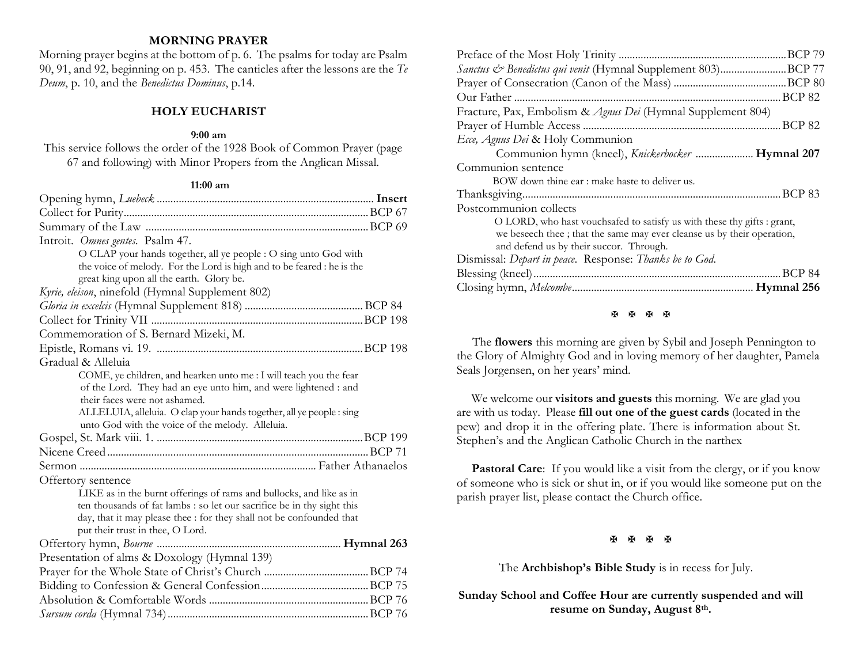### **MORNING PRAYER**

Morning prayer begins at the bottom of p. 6. The psalms for today are Psalm 90, 91, and 92, beginning on p. 453. The canticles after the lessons are the *Te Deum*, p. 10, and the *Benedictus Dominus*, p.14.

#### **HOLY EUCHARIST**

#### **9:00 am**

This service follows the order of the 1928 Book of Common Prayer (page 67 and following) with Minor Propers from the Anglican Missal.

#### **11:00 am**

| Introit. Omnes gentes. Psalm 47.                                       |  |
|------------------------------------------------------------------------|--|
| O CLAP your hands together, all ye people : O sing unto God with       |  |
| the voice of melody. For the Lord is high and to be feared : he is the |  |
| great king upon all the earth. Glory be.                               |  |
| Kyrie, eleison, ninefold (Hymnal Supplement 802)                       |  |
|                                                                        |  |
|                                                                        |  |
| Commemoration of S. Bernard Mizeki, M.                                 |  |
|                                                                        |  |
| Gradual & Alleluia                                                     |  |
| COME, ye children, and hearken unto me : I will teach you the fear     |  |
| of the Lord. They had an eye unto him, and were lightened : and        |  |
| their faces were not ashamed.                                          |  |
| ALLELUIA, alleluia. O clap your hands together, all ye people : sing   |  |
| unto God with the voice of the melody. Alleluia.                       |  |
|                                                                        |  |
|                                                                        |  |
|                                                                        |  |
| Offertory sentence                                                     |  |
| LIKE as in the burnt offerings of rams and bullocks, and like as in    |  |
| ten thousands of fat lambs : so let our sacrifice be in thy sight this |  |
| day, that it may please thee : for they shall not be confounded that   |  |
| put their trust in thee, O Lord.                                       |  |
|                                                                        |  |
| Presentation of alms & Doxology (Hymnal 139)                           |  |
|                                                                        |  |
|                                                                        |  |
|                                                                        |  |
|                                                                        |  |

| Sanctus & Benedictus qui venit (Hymnal Supplement 803)BCP 77                                                                                                                                 |
|----------------------------------------------------------------------------------------------------------------------------------------------------------------------------------------------|
|                                                                                                                                                                                              |
|                                                                                                                                                                                              |
| Fracture, Pax, Embolism & Agnus Dei (Hymnal Supplement 804)                                                                                                                                  |
|                                                                                                                                                                                              |
| Ecce, Agnus Dei & Holy Communion                                                                                                                                                             |
| Communion hymn (kneel), Knickerbocker  Hymnal 207                                                                                                                                            |
| Communion sentence                                                                                                                                                                           |
| BOW down thine ear: make haste to deliver us.                                                                                                                                                |
|                                                                                                                                                                                              |
| Postcommunion collects                                                                                                                                                                       |
| O LORD, who hast vouchsafed to satisfy us with these thy gifts : grant,<br>we beseech thee; that the same may ever cleanse us by their operation,<br>and defend us by their succor. Through. |
| Dismissal: Depart in peace. Response: Thanks be to God.                                                                                                                                      |
|                                                                                                                                                                                              |
|                                                                                                                                                                                              |
|                                                                                                                                                                                              |

#### **图图图图**

 The **flowers** this morning are given by Sybil and Joseph Pennington to the Glory of Almighty God and in loving memory of her daughter, Pamela Seals Jorgensen, on her years' mind.

We welcome our **visitors and guests** this morning. We are glad you are with us today. Please **fill out one of the guest cards** (located in the pew) and drop it in the offering plate. There is information about St. Stephen's and the Anglican Catholic Church in the narthex

**Pastoral Care:** If you would like a visit from the clergy, or if you know of someone who is sick or shut in, or if you would like someone put on the parish prayer list, please contact the Church office.

医困困困

The **Archbishop's Bible Study** is in recess for July.

**Sunday School and Coffee Hour are currently suspended and will resume on Sunday, August 8th.**